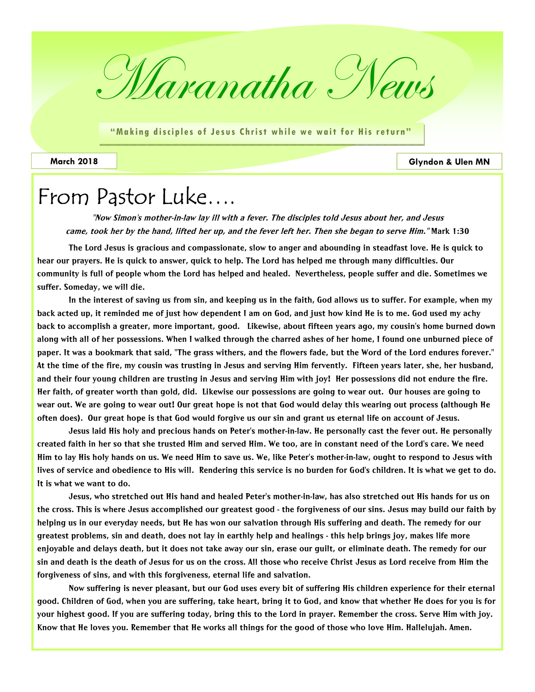

"Making disciples of Jesus Christ while we wait for His return"

**March 2018 Glyndon & Ulen MN**

# From Pastor Luke….

"Now Simon's mother-in-law lay ill with a fever. The disciples told Jesus about her, and Jesus came, took her by the hand, lifted her up, and the fever left her. Then she began to serve Him." Mark 1:30

The Lord Jesus is gracious and compassionate, slow to anger and abounding in steadfast love. He is quick to hear our prayers. He is quick to answer, quick to help. The Lord has helped me through many difficulties. Our community is full of people whom the Lord has helped and healed. Nevertheless, people suffer and die. Sometimes we suffer. Someday, we will die.

In the interest of saving us from sin, and keeping us in the faith, God allows us to suffer. For example, when my back acted up, it reminded me of just how dependent I am on God, and just how kind He is to me. God used my achy back to accomplish a greater, more important, good. Likewise, about fifteen years ago, my cousin's home burned down along with all of her possessions. When I walked through the charred ashes of her home, I found one unburned piece of paper. It was a bookmark that said, "The grass withers, and the flowers fade, but the Word of the Lord endures forever." At the time of the fire, my cousin was trusting in Jesus and serving Him fervently. Fifteen years later, she, her husband, and their four young children are trusting in Jesus and serving Him with joy! Her possessions did not endure the fire. Her faith, of greater worth than gold, did. Likewise our possessions are going to wear out. Our houses are going to wear out. We are going to wear out! Our great hope is not that God would delay this wearing out process (although He often does). Our great hope is that God would forgive us our sin and grant us eternal life on account of Jesus.

Jesus laid His holy and precious hands on Peter's mother-in-law. He personally cast the fever out. He personally created faith in her so that she trusted Him and served Him. We too, are in constant need of the Lord's care. We need Him to lay His holy hands on us. We need Him to save us. We, like Peter's mother-in-law, ought to respond to Jesus with lives of service and obedience to His will. Rendering this service is no burden for God's children. It is what we get to do. It is what we want to do.

Jesus, who stretched out His hand and healed Peter's mother-in-law, has also stretched out His hands for us on the cross. This is where Jesus accomplished our greatest good - the forgiveness of our sins. Jesus may build our faith by helping us in our everyday needs, but He has won our salvation through His suffering and death. The remedy for our greatest problems, sin and death, does not lay in earthly help and healings - this help brings joy, makes life more enjoyable and delays death, but it does not take away our sin, erase our guilt, or eliminate death. The remedy for our sin and death is the death of Jesus for us on the cross. All those who receive Christ Jesus as Lord receive from Him the forgiveness of sins, and with this forgiveness, eternal life and salvation.

Now suffering is never pleasant, but our God uses every bit of suffering His children experience for their eternal good. Children of God, when you are suffering, take heart, bring it to God, and know that whether He does for you is for your highest good. If you are suffering today, bring this to the Lord in prayer. Remember the cross. Serve Him with joy. Know that He loves you. Remember that He works all things for the good of those who love Him. Hallelujah. Amen.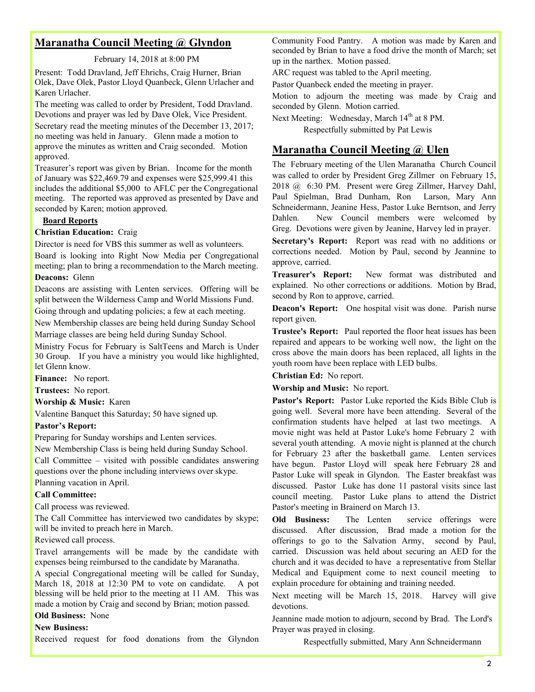### **Maranatha Council Meeting @ Glyndon**

February 14, 2018 at 8:00 PM

Present: Todd Dravland, Jeff Ehrichs, Craig Hurner, Brian Olek, Dave Olek, Pastor Lloyd Quanbeck, Glenn Urlacher and Karen Urlacher.

The meeting was called to order by President, Todd Dravland. Devotions and prayer was led by Dave Olek, Vice President.

Secretary read the meeting minutes of the December 13, 2017; no meeting was held in January. Glenn made a motion to approve the minutes as written and Craig seconded. Motion approved.

Treasurer's report was given by Brian. Income for the month of January was \$22,469.79 and expenses were \$25,999.41 this includes the additional \$5,000 to AFLC per the Congregational meeting. The reported was approved as presented by Dave and seconded by Karen; motion approved.

#### **Board Reports**

**Christian Education:** Craig

Director is need for VBS this summer as well as volunteers. Board is looking into Right Now Media per Congregational

meeting; plan to bring a recommendation to the March meeting. **Deacons:** Glenn

Deacons are assisting with Lenten services. Offering will be split between the Wilderness Camp and World Missions Fund.

Going through and updating policies; a few at each meeting.

New Membership classes are being held during Sunday School

Marriage classes are being held during Sunday School.

Ministry Focus for February is SaltTeens and March is Under 30 Group. If you have a ministry you would like highlighted, let Glenn know.

**Finance:** No report.

**Trustees:** No report.

**Worship & Music:** Karen

Valentine Banquet this Saturday; 50 have signed up.

#### **Pastor's Report:**

Preparing for Sunday worships and Lenten services.

New Membership Class is being held during Sunday School.

Call Committee – visited with possible candidates answering questions over the phone including interviews over skype.

Planning vacation in April.

#### **Call Committee:**

Call process was reviewed.

The Call Committee has interviewed two candidates by skype; will be invited to preach here in March.

Reviewed call process.

Travel arrangements will be made by the candidate with expenses being reimbursed to the candidate by Maranatha.

A special Congregational meeting will be called for Sunday, March 18, 2018 at 12:30 PM to vote on candidate. A pot blessing will be held prior to the meeting at 11 AM. This was made a motion by Craig and second by Brian; motion passed.

#### **Old Business:** None

#### **New Business:**

Received request for food donations from the Glyndon

Community Food Pantry. A motion was made by Karen and seconded by Brian to have a food drive the month of March; set up in the narthex. Motion passed.

ARC request was tabled to the April meeting.

Pastor Quanbeck ended the meeting in prayer.

Motion to adjourn the meeting was made by Craig and seconded by Glenn. Motion carried.

Next Meeting: Wednesday, March 14<sup>th</sup> at 8 PM.

Respectfully submitted by Pat Lewis

### **Maranatha Council Meeting @ Ulen**

The February meeting of the Ulen Maranatha Church Council was called to order by President Greg Zillmer on February 15, 2018 @ 6:30 PM. Present were Greg Zillmer, Harvey Dahl, Paul Spielman, Brad Dunham, Ron Larson, Mary Ann Schneidermann, Jeanine Hess, Pastor Luke Berntson, and Jerry Dahlen. New Council members were welcomed by Greg. Devotions were given by Jeanine, Harvey led in prayer.

**Secretary's Report:** Report was read with no additions or corrections needed. Motion by Paul, second by Jeannine to approve, carried.

**Treasurer's Report:** New format was distributed and explained. No other corrections or additions. Motion by Brad, second by Ron to approve, carried.

**Deacon's Report:** One hospital visit was done. Parish nurse report given.

**Trustee's Report:** Paul reported the floor heat issues has been repaired and appears to be working well now, the light on the cross above the main doors has been replaced, all lights in the youth room have been replace with LED bulbs.

**Christian Ed:** No report.

**Worship and Music:** No report.

**Pastor's Report:** Pastor Luke reported the Kids Bible Club is going well. Several more have been attending. Several of the confirmation students have helped at last two meetings. A movie night was held at Pastor Luke's home February 2 with several youth attending. A movie night is planned at the church for February 23 after the basketball game. Lenten services have begun. Pastor Lloyd will speak here February 28 and Pastor Luke will speak in Glyndon. The Easter breakfast was discussed. Pastor Luke has done 11 pastoral visits since last council meeting. Pastor Luke plans to attend the District Pastor's meeting in Brainerd on March 13.

**Old Business:** The Lenten service offerings were discussed. After discussion, Brad made a motion for the offerings to go to the Salvation Army, second by Paul, carried. Discussion was held about securing an AED for the church and it was decided to have a representative from Stellar Medical and Equipment come to next council meeting to explain procedure for obtaining and training needed.

Next meeting will be March 15, 2018. Harvey will give devotions.

Jeannine made motion to adjourn, second by Brad. The Lord's Prayer was prayed in closing.

Respectfully submitted, Mary Ann Schneidermann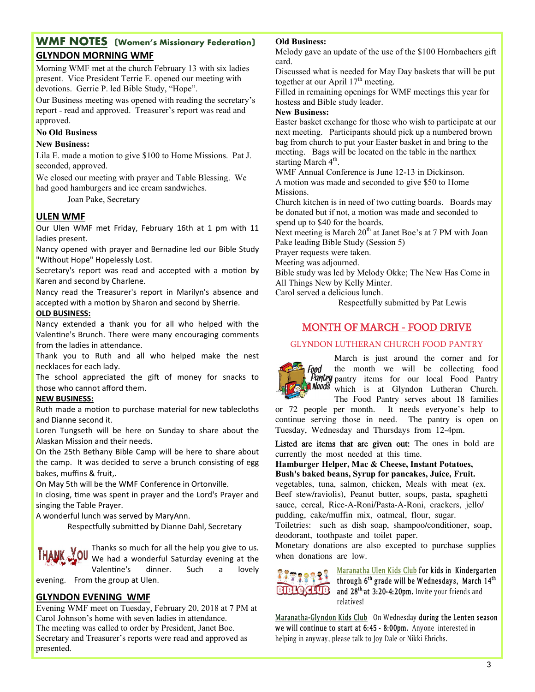#### **WMF NOTES (Women's Missionary Federation) GLYNDON MORNING WMF**

Morning WMF met at the church February 13 with six ladies present. Vice President Terrie E. opened our meeting with devotions. Gerrie P. led Bible Study, "Hope".

Our Business meeting was opened with reading the secretary's report - read and approved. Treasurer's report was read and approved.

#### **No Old Business**

#### **New Business:**

Lila E. made a motion to give \$100 to Home Missions. Pat J. seconded, approved.

We closed our meeting with prayer and Table Blessing. We had good hamburgers and ice cream sandwiches.

Joan Pake, Secretary

#### **ULEN WMF**

Our Ulen WMF met Friday, February 16th at 1 pm with 11 ladies present.

Nancy opened with prayer and Bernadine led our Bible Study "Without Hope" Hopelessly Lost.

Secretary's report was read and accepted with a motion by Karen and second by Charlene.

Nancy read the Treasurer's report in Marilyn's absence and accepted with a motion by Sharon and second by Sherrie.

#### **OLD BUSINESS:**

Nancy extended a thank you for all who helped with the Valentine's Brunch. There were many encouraging comments from the ladies in attendance.

Thank you to Ruth and all who helped make the nest necklaces for each lady.

The school appreciated the gift of money for snacks to those who cannot afford them.

#### **NEW BUSINESS:**

Ruth made a motion to purchase material for new tablecloths and Dianne second it.

Loren Tungseth will be here on Sunday to share about the Alaskan Mission and their needs.

On the 25th Bethany Bible Camp will be here to share about the camp. It was decided to serve a brunch consisting of egg bakes, muffins & fruit,.

On May 5th will be the WMF Conference in Ortonville.

In closing, time was spent in prayer and the Lord's Prayer and singing the Table Prayer.

A wonderful lunch was served by MaryAnn.

Respectfully submitted by Dianne Dahl, Secretary

Thanks so much for all the help you give to us. We had a wonderful Saturday evening at the Valentine's dinner. Such a lovely evening. From the group at Ulen.

#### **GLYNDON EVENING WMF**

Evening WMF meet on Tuesday, February 20, 2018 at 7 PM at Carol Johnson's home with seven ladies in attendance. The meeting was called to order by President, Janet Boe. Secretary and Treasurer's reports were read and approved as presented.

#### **Old Business:**

Melody gave an update of the use of the \$100 Hornbachers gift card.

Discussed what is needed for May Day baskets that will be put together at our April 17<sup>th</sup> meeting.

Filled in remaining openings for WMF meetings this year for hostess and Bible study leader.

#### **New Business:**

Easter basket exchange for those who wish to participate at our next meeting. Participants should pick up a numbered brown bag from church to put your Easter basket in and bring to the meeting. Bags will be located on the table in the narthex starting March  $4<sup>th</sup>$ .

WMF Annual Conference is June 12-13 in Dickinson. A motion was made and seconded to give \$50 to Home Missions.

Church kitchen is in need of two cutting boards. Boards may be donated but if not, a motion was made and seconded to spend up to \$40 for the boards.

Next meeting is March  $20<sup>th</sup>$  at Janet Boe's at 7 PM with Joan Pake leading Bible Study (Session 5)

Prayer requests were taken.

Meeting was adjourned.

Bible study was led by Melody Okke; The New Has Come in All Things New by Kelly Minter.

Carol served a delicious lunch.

Respectfully submitted by Pat Lewis

#### MONTH OF MARCH - FOOD DRIVE

#### GLYNDON LUTHERAN CHURCH FOOD PANTRY



March is just around the corner and for the month we will be collecting food **Pantry** pantry items for our local Food Pantry **Needs** which is at Glyndon Lutheran Church. The Food Pantry serves about 18 families

or 72 people per month. It needs everyone's help to continue serving those in need. The pantry is open on Tuesday, Wednesday and Thursdays from 12-4pm.

Listed are items that are given out: The ones in bold are currently the most needed at this time.

**Hamburger Helper, Mac & Cheese, Instant Potatoes, Bush's baked beans, Syrup for pancakes, Juice, Fruit.** 

vegetables, tuna, salmon, chicken, Meals with meat (ex. Beef stew/raviolis), Peanut butter, soups, pasta, spaghetti sauce, cereal, Rice-A-Roni/Pasta-A-Roni, crackers, jello/ pudding, cake/muffin mix, oatmeal, flour, sugar.

Toiletries: such as dish soap, shampoo/conditioner, soap, deodorant, toothpaste and toilet paper.

Monetary donations are also excepted to purchase supplies when donations are low.



**Maranatha Ulen Kids Club for kids in Kindergarten through 6th grade will be Wednesdays, March 14th** and 28<sup>th,</sup> at 3:20-4:20pm. Invite your friends and relatives!

**Maranatha-Glyndon Kids Club** On Wednesday **during the Lenten season we will continue to start at 6:45 - 8:00pm.** Anyone interested in helping in anyway, please talk to Joy Dale or Nikki Ehrichs.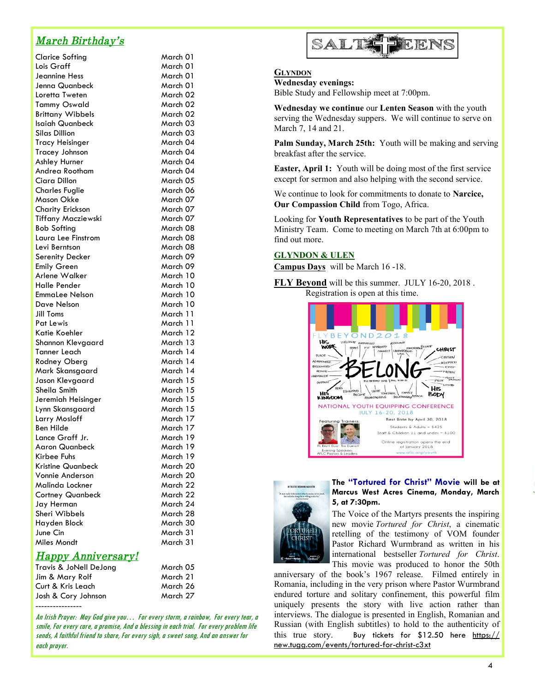## *March Birthday's*

| <b>Clarice Softing</b>                | March 01 |  |
|---------------------------------------|----------|--|
| Lois Graff                            | March 01 |  |
| Jeannine Hess                         | March 01 |  |
| Jenna Quanbeck                        | March 01 |  |
| Loretta Tweten                        | March 02 |  |
| <b>Tammy Oswald</b>                   | March 02 |  |
| <b>Brittany Wibbels</b>               | March 02 |  |
| <b>Isaiah Quanbeck</b>                | March 03 |  |
| Silas Dillion                         | March 03 |  |
| Tracy Heisinger                       | March 04 |  |
| Tracey Johnson                        | March 04 |  |
| Ashley Hurner                         | March 04 |  |
| Andrea Rootham                        | March 04 |  |
| Ciara Dillon                          | March 05 |  |
| <b>Charles Fuglie</b>                 | March 06 |  |
| Mason Okke                            | March 07 |  |
| Charity Erickson                      | March 07 |  |
| Tiffany Macziewski                    | March 07 |  |
| <b>Bob Softing</b>                    | March 08 |  |
| Laura Lee Finstrom                    | March 08 |  |
| Levi Berntson                         | March 08 |  |
| Serenity Decker                       | March 09 |  |
| <b>Emily Green</b>                    | March 09 |  |
| Arlene Walker                         | March 10 |  |
| Halle Pender                          | March 10 |  |
| <b>EmmaLee Nelson</b>                 | March 10 |  |
| Dave Nelson                           | March 10 |  |
| <b>Jill Toms</b>                      | March 11 |  |
| Pat Lewis                             | March 11 |  |
| Katie Koehler                         | March 12 |  |
| Shannon Klevgaard                     | March 13 |  |
| Tanner Leach                          | March 14 |  |
| Rodney Oberg                          | March 14 |  |
| Mark Skansgaard                       | March 14 |  |
| Jason Klevgaard                       | March 15 |  |
| Sheila Smith                          | March 15 |  |
| Jeremiah Heisinger                    | March 15 |  |
|                                       | March 15 |  |
| Lynn Skansgaard                       | March 17 |  |
| Larry Mosloff<br><b>Ben Hilde</b>     | March 17 |  |
| Lance Graff Jr.                       | March 19 |  |
| <b>Aaron Quanbeck</b>                 | March 19 |  |
| Kirbee Fuhs                           | March 19 |  |
| Kristine Quanbeck                     | March 20 |  |
| Vonnie Anderson                       | March 20 |  |
| Malinda Lockner                       | March 22 |  |
|                                       | March 22 |  |
| <b>Cortney Quanbeck</b><br>Jay Herman | March 24 |  |
| Sheri Wibbels                         | March 28 |  |
|                                       |          |  |
| Hayden Block                          | March 30 |  |
| June Cin                              | March 31 |  |
| Miles Mondt                           | March 31 |  |

#### *Happy Anniversary!*

| Travis & JoNell DeJong | March 05 |
|------------------------|----------|
| Jim & Mary Rolf        | March 21 |
| Curt & Kris Leach      | March 26 |
| Josh & Cory Johnson    | March 27 |
|                        |          |

An Irish Prayer: May God give you… For every storm, a rainbow, For every tear, a smile, For every care, a promise, And a blessing in each trial. For every problem life sends, A faithful friend to share, For every sigh, a sweet song, And an answer for each prayer.



#### **GLYNDON**

#### **Wednesday evenings:**

Bible Study and Fellowship meet at 7:00pm.

**Wednesday we continue** our **Lenten Season** with the youth serving the Wednesday suppers. We will continue to serve on March 7, 14 and 21.

**Palm Sunday, March 25th:** Youth will be making and serving breakfast after the service.

**Easter, April 1:** Youth will be doing most of the first service except for sermon and also helping with the second service.

We continue to look for commitments to donate to **Narcice, Our Compassion Child** from Togo, Africa.

Looking for **Youth Representatives** to be part of the Youth Ministry Team. Come to meeting on March 7th at 6:00pm to find out more.

#### **GLYNDON & ULEN**

**Campus Days** will be March 16 -18.

**FLY Beyond** will be this summer. JULY 16-20, 2018 . Registration is open at this time.





#### **The "Tortured for Christ" Movie will be at Marcus West Acres Cinema, Monday, March 5, at 7:30pm.**

The Voice of the Martyrs presents the inspiring new movie *Tortured for Christ*, a cinematic retelling of the testimony of VOM founder Pastor Richard Wurmbrand as written in his international bestseller *Tortured for Christ*. This movie was produced to honor the 50th

anniversary of the book's 1967 release. Filmed entirely in Romania, including in the very prison where Pastor Wurmbrand endured torture and solitary confinement, this powerful film uniquely presents the story with live action rather than interviews. The dialogue is presented in English, Romanian and Russian (with English subtitles) to hold to the authenticity of this true story. Buy tickets for \$12.50 here https:// new.tugg.com/events/tortured-for-christ-c3xt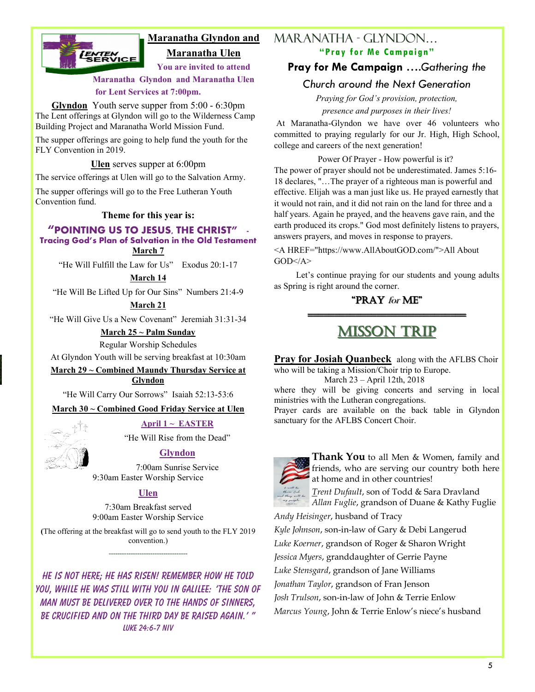

## **Maranatha Glyndon and**

**Maranatha Ulen** 

**You are invited to attend** 

## **Maranatha Glyndon and Maranatha Ulen**

#### **for Lent Services at 7:00pm.**

**Glyndon** Youth serve supper from 5:00 - 6:30pm The Lent offerings at Glyndon will go to the Wilderness Camp Building Project and Maranatha World Mission Fund.

The supper offerings are going to help fund the youth for the FLY Convention in 2019.

**Ulen** serves supper at 6:00pm

The service offerings at Ulen will go to the Salvation Army.

The supper offerings will go to the Free Lutheran Youth Convention fund.

**Theme for this year is:**

## **"POINTING US TO JESUS, THE CHRIST" -**

**Tracing God's Plan of Salvation in the Old Testament March 7**

"He Will Fulfill the Law for Us" Exodus 20:1-17

**March 14**

"He Will Be Lifted Up for Our Sins" Numbers 21:4-9

**March 21**

"He Will Give Us a New Covenant" Jeremiah 31:31-34

#### **March 25 ~ Palm Sunday**

Regular Worship Schedules

At Glyndon Youth will be serving breakfast at 10:30am

**March 29 ~ Combined Maundy Thursday Service at** 

**Glyndon**

"He Will Carry Our Sorrows" Isaiah 52:13-53:6

#### **March 30 ~ Combined Good Friday Service at Ulen**

#### **April 1 ~ EASTER**

"He Will Rise from the Dead"

#### **Glyndon**

7:00am Sunrise Service 9:30am Easter Worship Service

#### **Ulen**

7:30am Breakfast served 9:00am Easter Worship Service

**(**The offering at the breakfast will go to send youth to the FLY 2019 convention.)

------------------------------------ ------------------------------------

**He is not here; he has risen! Remember how he told you, while he was still with you in Galilee: 'The Son of Man must be delivered over to the hands of sinners, be crucified and on the third day be raised again.' " Luke 24:6-7 NIV**

## MARANATHA - GLYNDON…

#### "Pray for Me Campaign"

## **Pray for Me Campaign** ….*Gathering the*

### *Church around the Next Generation*

*Praying for God's provision, protection, presence and purposes in their lives!*

At Maranatha-Glyndon we have over 46 volunteers who committed to praying regularly for our Jr. High, High School, college and careers of the next generation!

 Power Of Prayer - How powerful is it? The power of prayer should not be underestimated. James 5:16- 18 declares, "…The prayer of a righteous man is powerful and effective. Elijah was a man just like us. He prayed earnestly that it would not rain, and it did not rain on the land for three and a half years. Again he prayed, and the heavens gave rain, and the earth produced its crops." God most definitely listens to prayers, answers prayers, and moves in response to prayers.

<A HREF="https://www.AllAboutGOD.com/">All About  $GOD$ 

 Let's continue praying for our students and young adults as Spring is right around the corner.

"PRAY for ME"

## ============================== ============================== **MISSON TRIP**

**Pray for Josiah Quanbeck** along with the AFLBS Choir who will be taking a Mission/Choir trip to Europe.

March 23 – April 12th, 2018

where they will be giving concerts and serving in local ministries with the Lutheran congregations.

Prayer cards are available on the back table in Glyndon sanctuary for the AFLBS Concert Choir.



**Thank You** to all Men & Women, family and friends, who are serving our country both here at home and in other countries!

*Trent Dufault*, son of Todd & Sara Dravland

*Allan Fuglie*, grandson of Duane & Kathy Fuglie

*Andy Heisinger*, husband of Tracy

*Kyle Johnson*, son-in-law of Gary & Debi Langerud *Luke Koerner*, grandson of Roger & Sharon Wright *Jessica Myers*, granddaughter of Gerrie Payne *Luke Stensgard*, grandson of Jane Williams *Jonathan Taylor*, grandson of Fran Jenson

*Josh Trulson*, son-in-law of John & Terrie Enlow

*Marcus Young*, John & Terrie Enlow's niece's husband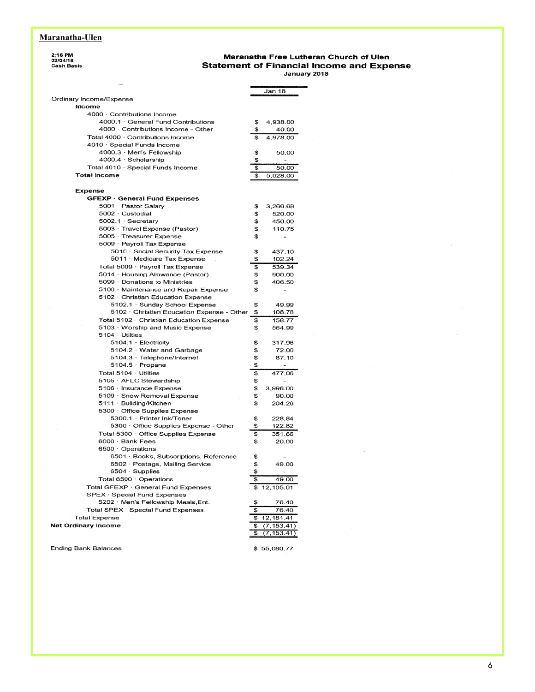#### **Maranatha-Ulen**

2:16 PM 02/04/18 **Cash Basis** 

#### Maranatha Free Lutheran Church of Ulen **Statement of Financial Income and Expense** January 2018

 $Jan<sub>18</sub>$ Ordinary Income/Expense Income 4000 · Contributions Income 4000.1 · General Fund Contributions  $$4,938.00$ 4000 · Contributions Income - Other 40.00 Total 4000 · Contributions Income  $\overline{\mathbf{s}}$ 4.978.00 4010 · Special Funds Income 4000.3 · Men's Fellowship \$ 50.00 4000.4 · Scholarship \$ Total 4010 · Special Funds Income \$ 50.00 **Total Income** 5,028.00 Expense **GFEXP · General Fund Expenses** 5001 · Pastor Salary \$ 3,266.68 5002 · Custodial \$ 520.00 5002.1 · Secretary \$ 450.00 5003 · Travel Expense (Pastor) \$ 110.75 5005 Treasurer Expense \$ 5009 · Payroll Tax Expense 5010 · Social Security Tax Expense \$ 437.10 5011 · Medicare Tax Expense 102.24 \$ Total 5009 · Payroll Tax Expense \$ 539.34 5014 · Housing Allowance (Pastor) \$ 900.00 5099 · Donations to Ministries \$ 406.50 5100 Maintenance and Repair Expense \$  $\overline{a}$ 5102 · Christian Education Expense 5102.1 · Sunday School Expense \$ 49.99 5102 · Christian Education Expense - Other \$ 108.78 Total 5102 · Christian Education Expense  $\mathfrak{s}$ 158.77 5103 · Worship and Music Expense 564.99  $\mathfrak{s}$ 5104 · Utilties 5104.1 · Electricity \$ 317.96 5104.2 · Water and Garbage \$ 72.00 5104.3 · Telephone/Internet \$ 87.10  $5104.5 \cdot$  Propane  $\mathbb{S}$ Total 5104 · Utilties  $\overline{\mathbf{s}}$ 477.06 5105 · AFLC Stewardship \$ 5106 · Insurance Expense \$ 3,996.00 5109 · Snow Removal Expense \$ 90.00 5111 · Building/Kitchen \$ 204.26 5300 · Office Supplies Expense 5300.1 · Printer Ink/Toner 228.84 \$ 5300 Office Supplies Expense - Other \$ 122.82 Total 5300 · Office Supplies Expense  $\overline{\mathfrak{s}}$ 351.66 6000 · Bank Fees \$ 20.00 6500 Operations 6501 · Books, Subscriptions, Reference  $\mathfrak s$ 6502 · Postage, Mailing Service \$ 49.00 6504 · Supplies \$ Total 6500 · Operations  $\mathfrak s$ 49.00 Total GFEXP · General Fund Expenses  $$12,105.01$ SPEX · Special Fund Expenses 5202 · Men's Fellowship Meals, Ent. \$ 76.40 Total SPEX · Special Fund Expenses \$. 76.40 **Total Expense**  $$12.181.41$ **Net Ordinary Income**  $$(7, 153.41)$  $$(7,153.41)$ 

**Ending Bank Balances** 

\$55,080.77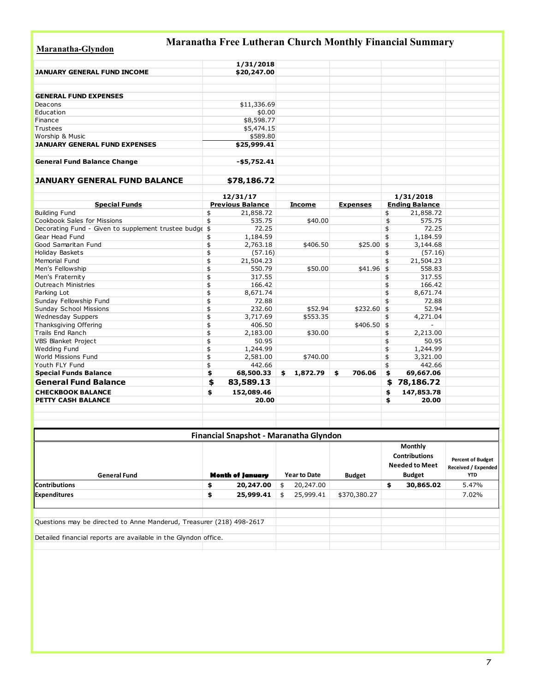| Maranatha-Glyndon                                      |                                        |                     |                 | <b>Maranatha Free Lutheran Church Monthly Financial Summary</b> |                                                                      |
|--------------------------------------------------------|----------------------------------------|---------------------|-----------------|-----------------------------------------------------------------|----------------------------------------------------------------------|
|                                                        | 1/31/2018                              |                     |                 |                                                                 |                                                                      |
| <b>JANUARY GENERAL FUND INCOME</b>                     | \$20,247.00                            |                     |                 |                                                                 |                                                                      |
|                                                        |                                        |                     |                 |                                                                 |                                                                      |
| <b>GENERAL FUND EXPENSES</b>                           |                                        |                     |                 |                                                                 |                                                                      |
| Deacons                                                | \$11,336.69                            |                     |                 |                                                                 |                                                                      |
| Education                                              | \$0.00                                 |                     |                 |                                                                 |                                                                      |
| Finance                                                | \$8,598.77                             |                     |                 |                                                                 |                                                                      |
| Trustees                                               | \$5,474.15                             |                     |                 |                                                                 |                                                                      |
| Worship & Music                                        | \$589.80                               |                     |                 |                                                                 |                                                                      |
| <b>JANUARY GENERAL FUND EXPENSES</b>                   | \$25,999.41                            |                     |                 |                                                                 |                                                                      |
|                                                        |                                        |                     |                 |                                                                 |                                                                      |
| <b>General Fund Balance Change</b>                     | -\$5,752.41                            |                     |                 |                                                                 |                                                                      |
| <b>JANUARY GENERAL FUND BALANCE</b>                    | \$78,186.72                            |                     |                 |                                                                 |                                                                      |
|                                                        | 12/31/17                               |                     |                 | 1/31/2018                                                       |                                                                      |
| <b>Special Funds</b>                                   | <b>Previous Balance</b>                | <b>Income</b>       |                 | <b>Ending Balance</b>                                           |                                                                      |
| <b>Building Fund</b>                                   | 21,858.72<br>\$                        |                     | <b>Expenses</b> | 21,858.72<br>\$                                                 |                                                                      |
| Cookbook Sales for Missions                            | 535.75<br>\$                           | \$40.00             |                 | 575.75<br>\$                                                    |                                                                      |
| Decorating Fund - Given to supplement trustee budge \$ | 72.25                                  |                     |                 | \$<br>72.25                                                     |                                                                      |
| Gear Head Fund                                         | 1,184.59<br>\$                         |                     |                 | 1,184.59<br>\$                                                  |                                                                      |
| Good Samaritan Fund                                    | \$<br>2,763.18                         | \$406.50            | $$25.00$ \$     | 3,144.68                                                        |                                                                      |
| Holiday Baskets                                        | \$<br>(57.16)                          |                     |                 | \$<br>(57.16)                                                   |                                                                      |
| Memorial Fund                                          | \$<br>21,504.23                        |                     |                 | 21,504.23<br>\$                                                 |                                                                      |
| Men's Fellowship                                       | \$<br>550.79                           | \$50.00             | $$41.96$ \$     | 558.83                                                          |                                                                      |
| Men's Fraternity                                       | \$<br>317.55                           |                     |                 | 317.55<br>\$                                                    |                                                                      |
| <b>Outreach Ministries</b>                             | \$<br>166.42                           |                     |                 | \$<br>166.42                                                    |                                                                      |
| Parking Lot                                            | \$<br>8,671.74                         |                     |                 | \$<br>8,671.74                                                  |                                                                      |
| Sunday Fellowship Fund                                 | \$<br>72.88                            |                     |                 | \$<br>72.88                                                     |                                                                      |
| <b>Sunday School Missions</b>                          | \$<br>232.60                           | \$52.94             | \$232.60        | 52.94<br>\$                                                     |                                                                      |
| <b>Wednesday Suppers</b>                               | \$<br>3,717.69                         | \$553.35            |                 | \$<br>4,271.04                                                  |                                                                      |
| Thanksgiving Offering                                  | \$<br>406.50                           |                     | \$406.50        | \$<br>$\sim$                                                    |                                                                      |
| Trails End Ranch                                       | \$<br>2,183.00                         | \$30.00             |                 | 2,213.00<br>\$                                                  |                                                                      |
| VBS Blanket Project                                    | \$<br>50.95                            |                     |                 | \$<br>50.95                                                     |                                                                      |
| <b>Wedding Fund</b>                                    | \$<br>1,244.99                         |                     |                 | 1,244.99<br>\$                                                  |                                                                      |
| World Missions Fund                                    | \$<br>2,581.00                         | \$740.00            |                 | \$<br>3,321.00                                                  |                                                                      |
| Youth FLY Fund                                         | \$<br>442.66                           |                     |                 | \$<br>442.66                                                    |                                                                      |
| <b>Special Funds Balance</b>                           | 68,500.33<br>\$                        | 1,872.79<br>\$      | 706.06<br>\$    | 69,667.06<br>\$                                                 |                                                                      |
| <b>General Fund Balance</b>                            | \$<br>83,589.13                        |                     |                 | \$<br>78,186.72                                                 |                                                                      |
| <b>CHECKBOOK BALANCE</b>                               | 152,089.46<br>\$                       |                     |                 | 147,853.78<br>\$                                                |                                                                      |
| PETTY CASH BALANCE                                     | 20.00                                  |                     |                 | \$<br>20.00                                                     |                                                                      |
|                                                        |                                        |                     |                 |                                                                 |                                                                      |
|                                                        | Financial Snapshot - Maranatha Glyndon |                     |                 | Monthly                                                         |                                                                      |
| <b>General Fund</b>                                    | Month of January                       | <b>Year to Date</b> | <b>Budget</b>   | <b>Contributions</b><br><b>Needed to Meet</b><br>Budget         | <b>Percent of Budget</b><br><b>Received / Expended</b><br><b>YTD</b> |

|                                                                      |                         |    |                     |               |               | <b>RECEIVED</b> / EXP |
|----------------------------------------------------------------------|-------------------------|----|---------------------|---------------|---------------|-----------------------|
| <b>General Fund</b>                                                  | <b>Month of January</b> |    | <b>Year to Date</b> | <b>Budget</b> | <b>Budget</b> | YTD                   |
| <b>Contributions</b>                                                 | 20,247.00               | £. | 20,247.00           |               | 30,865.02     | 5.47%                 |
| Expenditures                                                         | 25,999.41               |    | 25,999.41           | \$370,380.27  |               | 7.02%                 |
|                                                                      |                         |    |                     |               |               |                       |
|                                                                      |                         |    |                     |               |               |                       |
| Questions may be directed to Anne Manderud, Treasurer (218) 498-2617 |                         |    |                     |               |               |                       |
|                                                                      |                         |    |                     |               |               |                       |
| Detailed financial reports are available in the Glyndon office.      |                         |    |                     |               |               |                       |
|                                                                      |                         |    |                     |               |               |                       |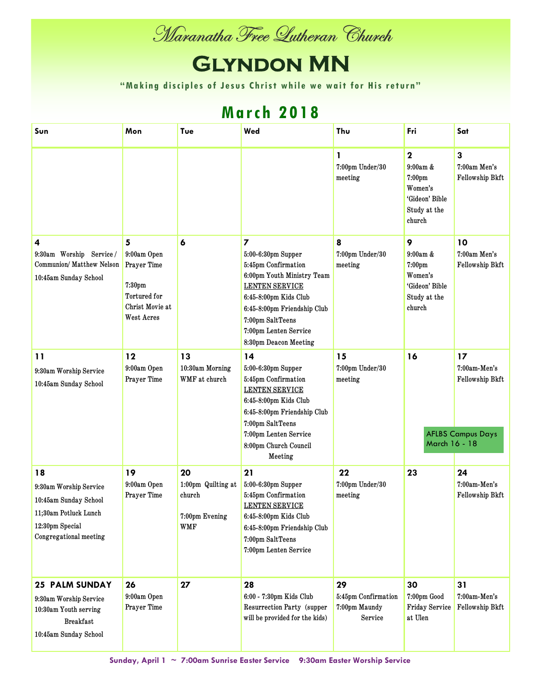

# **Glyndon MN**

"Making disciples of Jesus Christ while we wait for His return"

## **March 2018**

| Sun                                                                                                                         | Mon                                                                                               | Tue                                                                | Wed                                                                                                                                                                                                                                       | Thu                                                   | Fri                                                                                          | Sat                                                               |
|-----------------------------------------------------------------------------------------------------------------------------|---------------------------------------------------------------------------------------------------|--------------------------------------------------------------------|-------------------------------------------------------------------------------------------------------------------------------------------------------------------------------------------------------------------------------------------|-------------------------------------------------------|----------------------------------------------------------------------------------------------|-------------------------------------------------------------------|
|                                                                                                                             |                                                                                                   |                                                                    |                                                                                                                                                                                                                                           | 1<br>7:00pm Under/30<br>meeting                       | $\mathbf 2$<br>$9:00am$ &<br>7:00pm<br>Women's<br>'Gideon' Bible<br>Study at the<br>church   | 3<br>7:00am Men's<br>Fellowship Bkft                              |
| $\overline{\mathbf{4}}$<br>9:30am Worship<br>Service/<br>Communion/ Matthew Nelson<br>10:45am Sunday School                 | 5<br>9:00am Open<br>Prayer Time<br>7:30pm<br><b>Tortured for</b><br>Christ Movie at<br>West Acres | 6                                                                  | $\overline{7}$<br>5:00-6:30pm Supper<br>5:45pm Confirmation<br>6:00pm Youth Ministry Team<br>LENTEN SERVICE<br>6:45-8:00pm Kids Club<br>6:45-8:00pm Friendship Club<br>7:00pm SaltTeens<br>7:00pm Lenten Service<br>8:30pm Deacon Meeting | 8<br>7:00pm Under/30<br>meeting                       | 9<br>$9:00am$ &<br>7:00 <sub>pm</sub><br>Women's<br>'Gideon' Bible<br>Study at the<br>church | 10<br>7:00am Men's<br>Fellowship Bkft                             |
| 11<br>9:30am Worship Service<br>10:45am Sunday School                                                                       | 12<br>9:00am Open<br>Prayer Time                                                                  | 13<br>10:30am Morning<br>WMF at church                             | 14<br>5:00-6:30pm Supper<br>5:45pm Confirmation<br><b>LENTEN SERVICE</b><br>6:45-8:00pm Kids Club<br>6:45-8:00pm Friendship Club<br>7:00pm SaltTeens<br>7:00pm Lenten Service<br>8:00pm Church Council<br>Meeting                         | 15<br>7:00pm Under/30<br>meeting                      | 16<br>March 16 - 18                                                                          | 17<br>7:00am-Men's<br>Fellowship Bkft<br><b>AFLBS Campus Days</b> |
| 18<br>9:30am Worship Service<br>10:45am Sunday School<br>11;30am Potluck Lunch<br>12:30pm Special<br>Congregational meeting | 19<br>9:00am Open<br>Prayer Time                                                                  | 20<br>1:00pm Quilting at<br>church<br>7:00pm Evening<br><b>WMF</b> | 21<br>5:00-6:30pm Supper<br>5:45pm Confirmation<br><b>LENTEN SERVICE</b><br>6:45-8:00pm Kids Club<br>6:45-8:00pm Friendship Club<br>7:00pm SaltTeens<br>7:00pm Lenten Service                                                             | 22<br>7:00pm Under/30<br>${\rm meeting}$              | 23                                                                                           | 24<br>$7:00am-Men's$<br>Fellowship Bkft                           |
| <b>25 PALM SUNDAY</b><br>9:30am Worship Service<br>10:30am Youth serving<br><b>Breakfast</b><br>10:45am Sunday School       | 26<br>9:00am Open<br>Prayer Time                                                                  | 27                                                                 | 28<br>6:00 - 7:30pm Kids Club<br>Resurrection Party (supper<br>will be provided for the kids)                                                                                                                                             | 29<br>5:45pm Confirmation<br>7:00pm Maundy<br>Service | 30<br>7:00pm Good<br>Friday Service<br>at Ulen                                               | 31<br>7:00am-Men's<br>Fellowship Bkft                             |